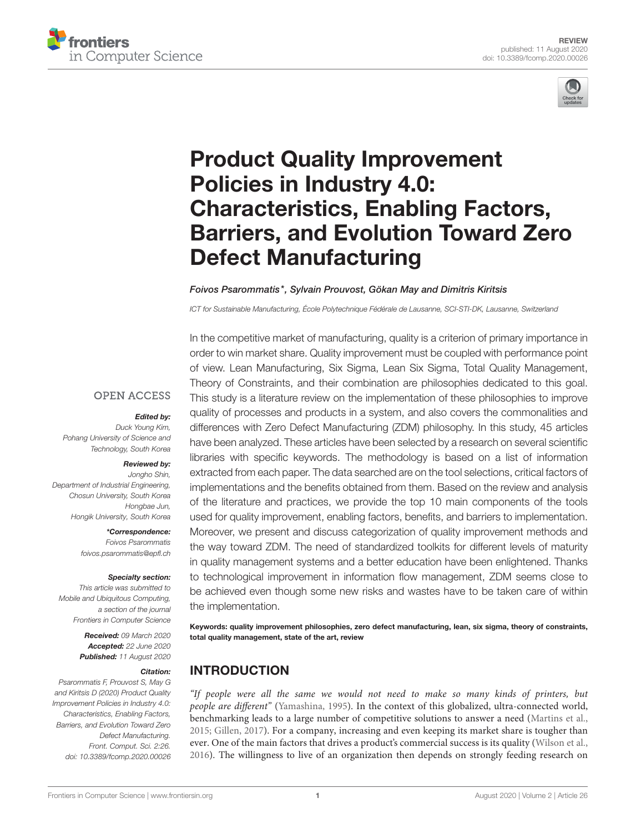



# Product Quality Improvement Policies in Industry 4.0: Characteristics, Enabling Factors, [Barriers, and Evolution Toward Zero](https://www.frontiersin.org/articles/10.3389/fcomp.2020.00026/full) Defect Manufacturing

### [Foivos Psarommatis\\*](http://loop.frontiersin.org/people/919857/overview), [Sylvain Prouvost,](http://loop.frontiersin.org/people/936302/overview) [Gökan May](http://loop.frontiersin.org/people/1011349/overview) and [Dimitris Kiritsis](http://loop.frontiersin.org/people/719219/overview)

ICT for Sustainable Manufacturing, École Polytechnique Fédérale de Lausanne, SCI-STI-DK, Lausanne, Switzerland

### **OPEN ACCESS**

### Edited by:

Duck Young Kim, Pohang University of Science and Technology, South Korea

### Reviewed by:

Jongho Shin, Department of Industrial Engineering, Chosun University, South Korea Hongbae Jun, Hongik University, South Korea

> \*Correspondence: Foivos Psarommatis [foivos.psarommatis@epfl.ch](mailto:foivos.psarommatis@epfl.ch)

### Specialty section:

This article was submitted to Mobile and Ubiquitous Computing, a section of the journal Frontiers in Computer Science

> Received: 09 March 2020 Accepted: 22 June 2020 Published: 11 August 2020

### Citation:

Psarommatis F, Prouvost S, May G and Kiritsis D (2020) Product Quality Improvement Policies in Industry 4.0: Characteristics, Enabling Factors, Barriers, and Evolution Toward Zero Defect Manufacturing. Front. Comput. Sci. 2:26. doi: [10.3389/fcomp.2020.00026](https://doi.org/10.3389/fcomp.2020.00026)

In the competitive market of manufacturing, quality is a criterion of primary importance in order to win market share. Quality improvement must be coupled with performance point of view. Lean Manufacturing, Six Sigma, Lean Six Sigma, Total Quality Management, Theory of Constraints, and their combination are philosophies dedicated to this goal. This study is a literature review on the implementation of these philosophies to improve quality of processes and products in a system, and also covers the commonalities and differences with Zero Defect Manufacturing (ZDM) philosophy. In this study, 45 articles have been analyzed. These articles have been selected by a research on several scientific libraries with specific keywords. The methodology is based on a list of information extracted from each paper. The data searched are on the tool selections, critical factors of implementations and the benefits obtained from them. Based on the review and analysis of the literature and practices, we provide the top 10 main components of the tools used for quality improvement, enabling factors, benefits, and barriers to implementation. Moreover, we present and discuss categorization of quality improvement methods and the way toward ZDM. The need of standardized toolkits for different levels of maturity in quality management systems and a better education have been enlightened. Thanks to technological improvement in information flow management, ZDM seems close to be achieved even though some new risks and wastes have to be taken care of within the implementation.

Keywords: quality improvement philosophies, zero defect manufacturing, lean, six sigma, theory of constraints, total quality management, state of the art, review

## INTRODUCTION

"If people were all the same we would not need to make so many kinds of printers, but people are different" [\(Yamashina, 1995\)](#page-14-0). In the context of this globalized, ultra-connected world, benchmarking leads to a large number of competitive solutions to answer a need [\(Martins et al.,](#page-14-1) [2015;](#page-14-1) [Gillen, 2017\)](#page-13-0). For a company, increasing and even keeping its market share is tougher than ever. One of the main factors that drives a product's commercial success is its quality [\(Wilson et al.,](#page-14-2) [2016\)](#page-14-2). The willingness to live of an organization then depends on strongly feeding research on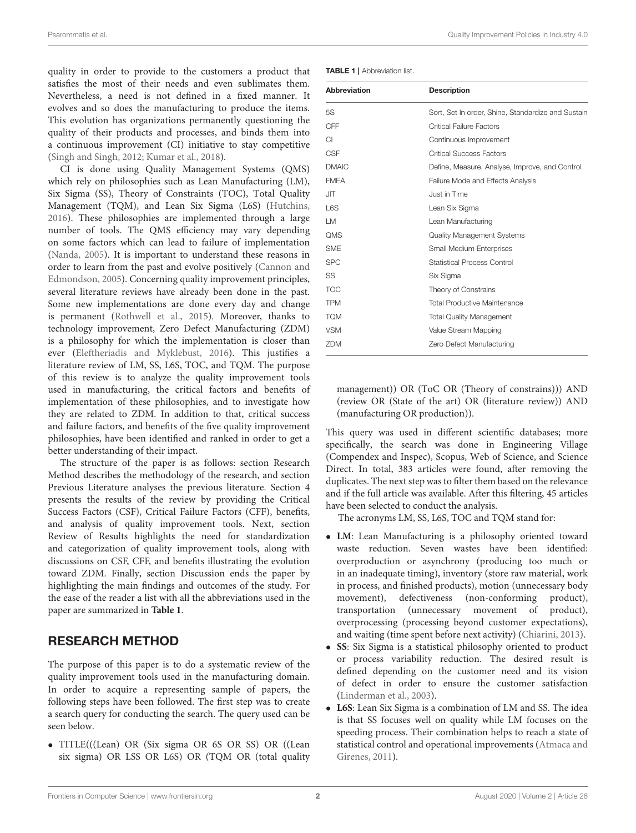Psarommatis et al. Quality Improvement Policies in Industry 4.0

quality in order to provide to the customers a product that satisfies the most of their needs and even sublimates them. Nevertheless, a need is not defined in a fixed manner. It evolves and so does the manufacturing to produce the items. This evolution has organizations permanently questioning the quality of their products and processes, and binds them into a continuous improvement (CI) initiative to stay competitive [\(Singh and Singh, 2012;](#page-14-3) [Kumar et al., 2018\)](#page-14-4).

CI is done using Quality Management Systems (QMS) which rely on philosophies such as Lean Manufacturing (LM), Six Sigma (SS), Theory of Constraints (TOC), Total Quality Management (TQM), and Lean Six Sigma (L6S) [\(Hutchins,](#page-13-1) [2016\)](#page-13-1). These philosophies are implemented through a large number of tools. The QMS efficiency may vary depending on some factors which can lead to failure of implementation [\(Nanda, 2005\)](#page-14-5). It is important to understand these reasons in order to learn from the past and evolve positively (Cannon and Edmondson, [2005\)](#page-13-2). Concerning quality improvement principles, several literature reviews have already been done in the past. Some new implementations are done every day and change is permanent [\(Rothwell et al., 2015\)](#page-14-6). Moreover, thanks to technology improvement, Zero Defect Manufacturing (ZDM) is a philosophy for which the implementation is closer than ever [\(Eleftheriadis and Myklebust, 2016\)](#page-13-3). This justifies a literature review of LM, SS, L6S, TOC, and TQM. The purpose of this review is to analyze the quality improvement tools used in manufacturing, the critical factors and benefits of implementation of these philosophies, and to investigate how they are related to ZDM. In addition to that, critical success and failure factors, and benefits of the five quality improvement philosophies, have been identified and ranked in order to get a better understanding of their impact.

The structure of the paper is as follows: section Research Method describes the methodology of the research, and section Previous Literature analyses the previous literature. Section 4 presents the results of the review by providing the Critical Success Factors (CSF), Critical Failure Factors (CFF), benefits, and analysis of quality improvement tools. Next, section Review of Results highlights the need for standardization and categorization of quality improvement tools, along with discussions on CSF, CFF, and benefits illustrating the evolution toward ZDM. Finally, section Discussion ends the paper by highlighting the main findings and outcomes of the study. For the ease of the reader a list with all the abbreviations used in the paper are summarized in **[Table 1](#page-1-0)**.

## RESEARCH METHOD

The purpose of this paper is to do a systematic review of the quality improvement tools used in the manufacturing domain. In order to acquire a representing sample of papers, the following steps have been followed. The first step was to create a search query for conducting the search. The query used can be seen below.

• TITLE(((Lean) OR (Six sigma OR 6S OR SS) OR ((Lean six sigma) OR LSS OR L6S) OR (TQM OR (total quality

<span id="page-1-0"></span>

| <b>Abbreviation</b> | <b>Description</b>                                 |
|---------------------|----------------------------------------------------|
| 5S                  | Sort, Set In order, Shine, Standardize and Sustain |
| CFF                 | <b>Critical Failure Factors</b>                    |
| СI                  | Continuous Improvement                             |
| <b>CSF</b>          | <b>Critical Success Factors</b>                    |
| <b>DMAIC</b>        | Define, Measure, Analyse, Improve, and Control     |
| <b>FMEA</b>         | Failure Mode and Effects Analysis                  |
| <b>JIT</b>          | Just in Time                                       |
| L6S                 | Lean Six Sigma                                     |
| LM.                 | Lean Manufacturing                                 |
| <b>QMS</b>          | <b>Quality Management Systems</b>                  |
| <b>SME</b>          | <b>Small Medium Enterprises</b>                    |
| <b>SPC</b>          | Statistical Process Control                        |
| SS                  | Six Sigma                                          |
| <b>TOC</b>          | Theory of Constrains                               |
| <b>TPM</b>          | <b>Total Productive Maintenance</b>                |
| <b>TQM</b>          | <b>Total Quality Management</b>                    |
| <b>VSM</b>          | Value Stream Mapping                               |
| ZDM                 | Zero Defect Manufacturing                          |

management)) OR (ToC OR (Theory of constrains))) AND (review OR (State of the art) OR (literature review)) AND (manufacturing OR production)).

This query was used in different scientific databases; more specifically, the search was done in Engineering Village (Compendex and Inspec), Scopus, Web of Science, and Science Direct. In total, 383 articles were found, after removing the duplicates. The next step was to filter them based on the relevance and if the full article was available. After this filtering, 45 articles have been selected to conduct the analysis.

The acronyms LM, SS, L6S, TOC and TQM stand for:

- **LM**: Lean Manufacturing is a philosophy oriented toward waste reduction. Seven wastes have been identified: overproduction or asynchrony (producing too much or in an inadequate timing), inventory (store raw material, work in process, and finished products), motion (unnecessary body movement), defectiveness (non-conforming product), transportation (unnecessary movement of product), overprocessing (processing beyond customer expectations), and waiting (time spent before next activity) [\(Chiarini, 2013\)](#page-13-4).
- **SS**: Six Sigma is a statistical philosophy oriented to product or process variability reduction. The desired result is defined depending on the customer need and its vision of defect in order to ensure the customer satisfaction [\(Linderman et al., 2003\)](#page-14-7).
- **L6S**: Lean Six Sigma is a combination of LM and SS. The idea is that SS focuses well on quality while LM focuses on the speeding process. Their combination helps to reach a state of statistical control and operational improvements (Atmaca and Girenes, [2011\)](#page-13-5).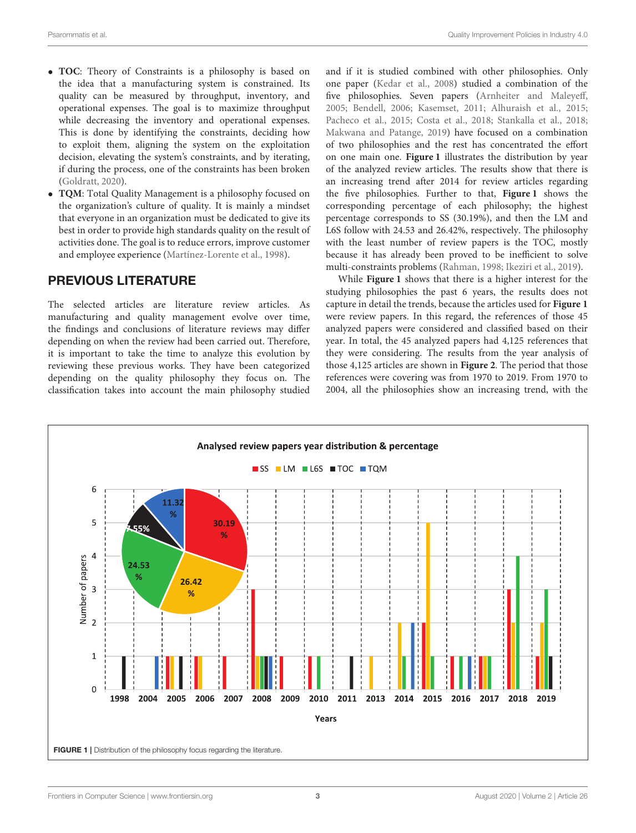- **TOC**: Theory of Constraints is a philosophy is based on the idea that a manufacturing system is constrained. Its quality can be measured by throughput, inventory, and operational expenses. The goal is to maximize throughput while decreasing the inventory and operational expenses. This is done by identifying the constraints, deciding how to exploit them, aligning the system on the exploitation decision, elevating the system's constraints, and by iterating, if during the process, one of the constraints has been broken [\(Goldratt, 2020\)](#page-13-6).
- **TQM**: Total Quality Management is a philosophy focused on the organization's culture of quality. It is mainly a mindset that everyone in an organization must be dedicated to give its best in order to provide high standards quality on the result of activities done. The goal is to reduce errors, improve customer and employee experience [\(Martínez-Lorente et al., 1998\)](#page-14-8).

## PREVIOUS LITERATURE

The selected articles are literature review articles. As manufacturing and quality management evolve over time, the findings and conclusions of literature reviews may differ depending on when the review had been carried out. Therefore, it is important to take the time to analyze this evolution by reviewing these previous works. They have been categorized depending on the quality philosophy they focus on. The classification takes into account the main philosophy studied and if it is studied combined with other philosophies. Only one paper [\(Kedar et al., 2008\)](#page-14-9) studied a combination of the five philosophies. Seven papers [\(Arnheiter and Maleyeff,](#page-13-7) [2005;](#page-13-7) [Bendell, 2006;](#page-13-8) [Kasemset, 2011;](#page-14-10) [Alhuraish et al., 2015;](#page-13-9) [Pacheco et al., 2015;](#page-14-11) [Costa et al., 2018;](#page-13-10) [Stankalla et al., 2018;](#page-14-12) [Makwana and Patange, 2019\)](#page-14-13) have focused on a combination of two philosophies and the rest has concentrated the effort on one main one. **[Figure 1](#page-2-0)** illustrates the distribution by year of the analyzed review articles. The results show that there is an increasing trend after 2014 for review articles regarding the five philosophies. Further to that, **[Figure 1](#page-2-0)** shows the corresponding percentage of each philosophy; the highest percentage corresponds to SS (30.19%), and then the LM and L6S follow with 24.53 and 26.42%, respectively. The philosophy with the least number of review papers is the TOC, mostly because it has already been proved to be inefficient to solve multi-constraints problems [\(Rahman, 1998;](#page-14-14) [Ikeziri et al., 2019\)](#page-14-15).

While **[Figure 1](#page-2-0)** shows that there is a higher interest for the studying philosophies the past 6 years, the results does not capture in detail the trends, because the articles used for **[Figure 1](#page-2-0)** were review papers. In this regard, the references of those 45 analyzed papers were considered and classified based on their year. In total, the 45 analyzed papers had 4,125 references that they were considering. The results from the year analysis of those 4,125 articles are shown in **[Figure 2](#page-3-0)**. The period that those references were covering was from 1970 to 2019. From 1970 to 2004, all the philosophies show an increasing trend, with the

<span id="page-2-0"></span>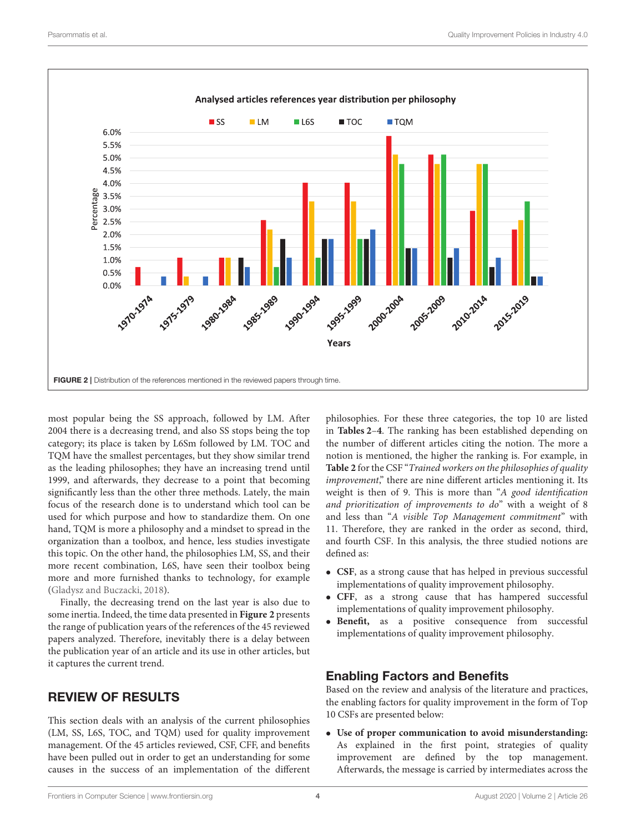

<span id="page-3-0"></span>most popular being the SS approach, followed by LM. After 2004 there is a decreasing trend, and also SS stops being the top category; its place is taken by L6Sm followed by LM. TOC and TQM have the smallest percentages, but they show similar trend as the leading philosophes; they have an increasing trend until 1999, and afterwards, they decrease to a point that becoming significantly less than the other three methods. Lately, the main focus of the research done is to understand which tool can be used for which purpose and how to standardize them. On one hand, TQM is more a philosophy and a mindset to spread in the organization than a toolbox, and hence, less studies investigate this topic. On the other hand, the philosophies LM, SS, and their more recent combination, L6S, have seen their toolbox being more and more furnished thanks to technology, for example [\(Gladysz and Buczacki, 2018\)](#page-13-11).

Finally, the decreasing trend on the last year is also due to some inertia. Indeed, the time data presented in **[Figure 2](#page-3-0)** presents the range of publication years of the references of the 45 reviewed papers analyzed. Therefore, inevitably there is a delay between the publication year of an article and its use in other articles, but it captures the current trend.

## REVIEW OF RESULTS

This section deals with an analysis of the current philosophies (LM, SS, L6S, TOC, and TQM) used for quality improvement management. Of the 45 articles reviewed, CSF, CFF, and benefits have been pulled out in order to get an understanding for some causes in the success of an implementation of the different philosophies. For these three categories, the top 10 are listed in **[Tables 2](#page-4-0)**–**[4](#page-6-0)**. The ranking has been established depending on the number of different articles citing the notion. The more a notion is mentioned, the higher the ranking is. For example, in **[Table 2](#page-4-0)** for the CSF "Trained workers on the philosophies of quality improvement," there are nine different articles mentioning it. Its weight is then of 9. This is more than "A good identification and prioritization of improvements to do" with a weight of 8 and less than "A visible Top Management commitment" with 11. Therefore, they are ranked in the order as second, third, and fourth CSF. In this analysis, the three studied notions are defined as:

- **CSF**, as a strong cause that has helped in previous successful implementations of quality improvement philosophy.
- **CFF**, as a strong cause that has hampered successful implementations of quality improvement philosophy.
- **Benefit,** as a positive consequence from successful implementations of quality improvement philosophy.

## Enabling Factors and Benefits

Based on the review and analysis of the literature and practices, the enabling factors for quality improvement in the form of Top 10 CSFs are presented below:

• **Use of proper communication to avoid misunderstanding:** As explained in the first point, strategies of quality improvement are defined by the top management. Afterwards, the message is carried by intermediates across the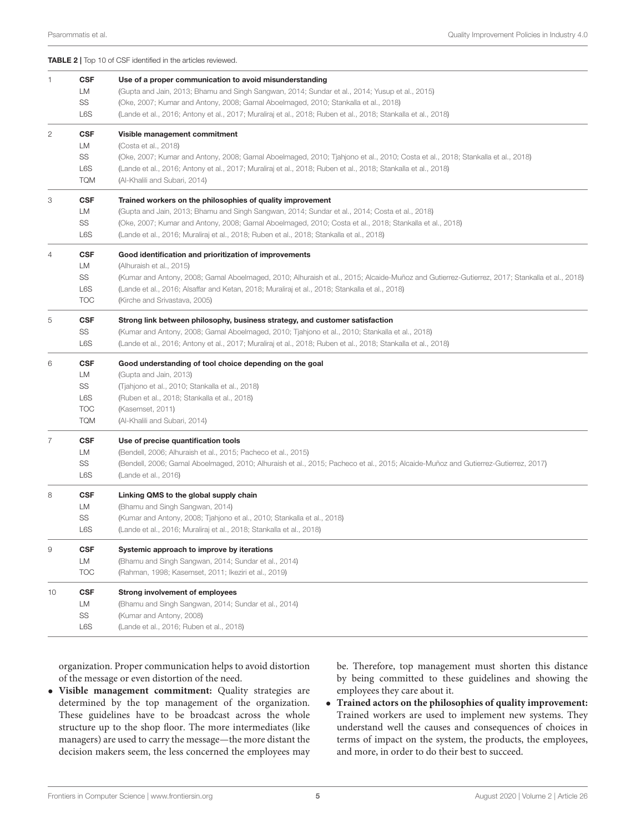<span id="page-4-0"></span>

|                |                                                           | <b>TABLE 2</b>   Top 10 of CSF identified in the articles reviewed.                                                                                                                                                                                                                                                                                                    |
|----------------|-----------------------------------------------------------|------------------------------------------------------------------------------------------------------------------------------------------------------------------------------------------------------------------------------------------------------------------------------------------------------------------------------------------------------------------------|
| -1             | <b>CSF</b><br>LM<br>SS<br>L6S                             | Use of a proper communication to avoid misunderstanding<br>(Gupta and Jain, 2013; Bhamu and Singh Sangwan, 2014; Sundar et al., 2014; Yusup et al., 2015)<br>(Oke, 2007; Kumar and Antony, 2008; Gamal Aboelmaged, 2010; Stankalla et al., 2018)<br>(Lande et al., 2016; Antony et al., 2017; Muraliraj et al., 2018; Ruben et al., 2018; Stankalla et al., 2018)      |
| $\overline{c}$ | <b>CSF</b><br>LM<br>SS<br>L6S<br><b>TQM</b>               | Visible management commitment<br>(Costa et al., 2018)<br>(Oke, 2007; Kumar and Antony, 2008; Gamal Aboelmaged, 2010; Tjahjono et al., 2010; Costa et al., 2018; Stankalla et al., 2018)<br>(Lande et al., 2016; Antony et al., 2017; Muraliraj et al., 2018; Ruben et al., 2018; Stankalla et al., 2018)<br>(Al-Khalili and Subari, 2014)                              |
| 3              | <b>CSF</b><br>LM<br>SS<br>L6S                             | Trained workers on the philosophies of quality improvement<br>(Gupta and Jain, 2013; Bhamu and Singh Sangwan, 2014; Sundar et al., 2014; Costa et al., 2018)<br>(Oke, 2007; Kumar and Antony, 2008; Gamal Aboelmaged, 2010; Costa et al., 2018; Stankalla et al., 2018)<br>(Lande et al., 2016; Muraliraj et al., 2018; Ruben et al., 2018; Stankalla et al., 2018)    |
| 4              | <b>CSF</b><br>LM<br>SS<br>L6S<br><b>TOC</b>               | Good identification and prioritization of improvements<br>(Alhuraish et al., 2015)<br>(Kumar and Antony, 2008; Gamal Aboelmaged, 2010; Alhuraish et al., 2015; Alcaide-Muñoz and Gutierrez-Gutierrez, 2017; Stankalla et al., 2018)<br>(Lande et al., 2016; Alsaffar and Ketan, 2018; Muraliraj et al., 2018; Stankalla et al., 2018)<br>(Kirche and Srivastava, 2005) |
| 5              | <b>CSF</b><br>SS<br>L6S                                   | Strong link between philosophy, business strategy, and customer satisfaction<br>(Kumar and Antony, 2008; Gamal Aboelmaged, 2010; Tjahjono et al., 2010; Stankalla et al., 2018)<br>(Lande et al., 2016; Antony et al., 2017; Muraliraj et al., 2018; Ruben et al., 2018; Stankalla et al., 2018)                                                                       |
| 6              | <b>CSF</b><br>LМ<br>SS<br>L6S<br><b>TOC</b><br><b>TQM</b> | Good understanding of tool choice depending on the goal<br>(Gupta and Jain, 2013)<br>(Tjahjono et al., 2010; Stankalla et al., 2018)<br>(Ruben et al., 2018; Stankalla et al., 2018)<br>(Kasemset, 2011)<br>(Al-Khalili and Subari, 2014)                                                                                                                              |
| 7              | <b>CSF</b><br>LM<br>SS<br>L6S                             | Use of precise quantification tools<br>(Bendell, 2006; Alhuraish et al., 2015; Pacheco et al., 2015)<br>(Bendell, 2006; Gamal Aboelmaged, 2010; Alhuraish et al., 2015; Pacheco et al., 2015; Alcaide-Muñoz and Gutierrez-Gutierrez, 2017)<br>(Lande et al., 2016)                                                                                                     |
| 8              | <b>CSF</b><br>LМ<br>SS<br>L6S                             | Linking QMS to the global supply chain<br>(Bhamu and Singh Sangwan, 2014)<br>(Kumar and Antony, 2008; Tjahjono et al., 2010; Stankalla et al., 2018)<br>(Lande et al., 2016; Muraliraj et al., 2018; Stankalla et al., 2018)                                                                                                                                           |
| 9              | <b>CSF</b><br>LM<br><b>TOC</b>                            | Systemic approach to improve by iterations<br>(Bhamu and Singh Sangwan, 2014; Sundar et al., 2014)<br>(Rahman, 1998; Kasemset, 2011; Ikeziri et al., 2019)                                                                                                                                                                                                             |
| 10             | CSF<br>LM<br>SS<br>L6S                                    | <b>Strong involvement of employees</b><br>(Bhamu and Singh Sangwan, 2014; Sundar et al., 2014)<br>(Kumar and Antony, 2008)<br>(Lande et al., 2016; Ruben et al., 2018)                                                                                                                                                                                                 |

organization. Proper communication helps to avoid distortion of the message or even distortion of the need.

• **Visible management commitment:** Quality strategies are determined by the top management of the organization. These guidelines have to be broadcast across the whole structure up to the shop floor. The more intermediates (like managers) are used to carry the message—the more distant the decision makers seem, the less concerned the employees may

be. Therefore, top management must shorten this distance by being committed to these guidelines and showing the employees they care about it.

• **Trained actors on the philosophies of quality improvement:** Trained workers are used to implement new systems. They understand well the causes and consequences of choices in terms of impact on the system, the products, the employees, and more, in order to do their best to succeed.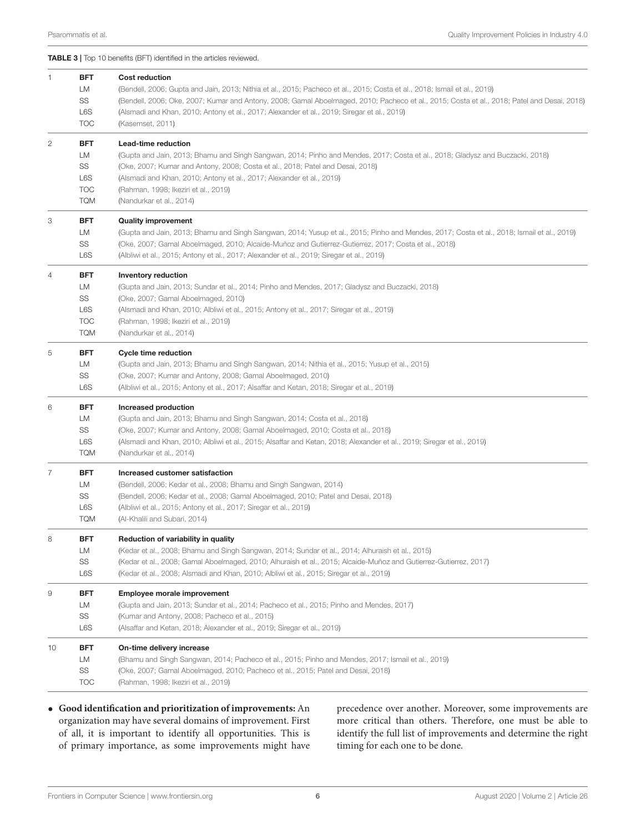<span id="page-5-0"></span>TABLE 3 | Top 10 benefits (BFT) identified in the articles reviewed.

| $\mathbf{1}$                                                                                                                                                                                                                                                                                              | <b>BFT</b><br>LM<br>SS<br>L6S<br><b>TOC</b>               | <b>Cost reduction</b><br>(Bendell, 2006; Gupta and Jain, 2013; Nithia et al., 2015; Pacheco et al., 2015; Costa et al., 2018; Ismail et al., 2019)<br>(Bendell, 2006; Oke, 2007; Kumar and Antony, 2008; Gamal Aboelmaged, 2010; Pacheco et al., 2015; Costa et al., 2018; Patel and Desai, 2018)<br>(Alsmadi and Khan, 2010; Antony et al., 2017; Alexander et al., 2019; Siregar et al., 2019)<br>(Kasemset, 2011) |  |
|-----------------------------------------------------------------------------------------------------------------------------------------------------------------------------------------------------------------------------------------------------------------------------------------------------------|-----------------------------------------------------------|----------------------------------------------------------------------------------------------------------------------------------------------------------------------------------------------------------------------------------------------------------------------------------------------------------------------------------------------------------------------------------------------------------------------|--|
| 2                                                                                                                                                                                                                                                                                                         | <b>BFT</b><br>LM<br>SS<br>L6S<br><b>TOC</b><br><b>TQM</b> | Lead-time reduction<br>(Gupta and Jain, 2013; Bhamu and Singh Sangwan, 2014; Pinho and Mendes, 2017; Costa et al., 2018; Gladysz and Buczacki, 2018)<br>(Oke, 2007; Kumar and Antony, 2008; Costa et al., 2018; Patel and Desai, 2018)<br>(Alsmadi and Khan, 2010; Antony et al., 2017; Alexander et al., 2019)<br>(Rahman, 1998; Ikeziri et al., 2019)<br>(Nandurkar et al., 2014)                                  |  |
| 3                                                                                                                                                                                                                                                                                                         | BFT<br>LM<br>SS<br>L6S                                    | <b>Quality improvement</b><br>(Gupta and Jain, 2013; Bhamu and Singh Sangwan, 2014; Yusup et al., 2015; Pinho and Mendes, 2017; Costa et al., 2018; Ismail et al., 2019)<br>(Oke, 2007; Gamal Aboelmaged, 2010; Alcaide-Muñoz and Gutierrez-Gutierrez, 2017; Costa et al., 2018)<br>(Albliwi et al., 2015; Antony et al., 2017; Alexander et al., 2019; Siregar et al., 2019)                                        |  |
| 4                                                                                                                                                                                                                                                                                                         | <b>BFT</b><br>LM<br>SS<br>L6S<br><b>TOC</b><br><b>TQM</b> | <b>Inventory reduction</b><br>(Gupta and Jain, 2013; Sundar et al., 2014; Pinho and Mendes, 2017; Gladysz and Buczacki, 2018)<br>(Oke, 2007; Gamal Aboelmaged, 2010)<br>(Alsmadi and Khan, 2010; Albliwi et al., 2015; Antony et al., 2017; Siregar et al., 2019)<br>(Rahman, 1998; Ikeziri et al., 2019)<br>(Nandurkar et al., 2014)                                                                                |  |
| 5                                                                                                                                                                                                                                                                                                         | <b>BFT</b><br>LM<br>SS<br>L6S                             | <b>Cycle time reduction</b><br>(Gupta and Jain, 2013; Bhamu and Singh Sangwan, 2014; Nithia et al., 2015; Yusup et al., 2015)<br>(Oke, 2007; Kumar and Antony, 2008; Gamal Aboelmaged, 2010)<br>(Albliwi et al., 2015; Antony et al., 2017; Alsaffar and Ketan, 2018; Siregar et al., 2019)                                                                                                                          |  |
| 6                                                                                                                                                                                                                                                                                                         | <b>BFT</b><br>LM<br>SS<br>L6S<br><b>TQM</b>               | Increased production<br>(Gupta and Jain, 2013; Bhamu and Singh Sangwan, 2014; Costa et al., 2018)<br>(Oke, 2007; Kumar and Antony, 2008; Gamal Aboelmaged, 2010; Costa et al., 2018)<br>(Alsmadi and Khan, 2010; Albliwi et al., 2015; Alsaffar and Ketan, 2018; Alexander et al., 2019; Siregar et al., 2019)<br>(Nandurkar et al., 2014)                                                                           |  |
| 7                                                                                                                                                                                                                                                                                                         | <b>BFT</b><br>LM<br>SS<br>L6S<br><b>TQM</b>               | Increased customer satisfaction<br>(Bendell, 2006; Kedar et al., 2008; Bhamu and Singh Sangwan, 2014)<br>(Bendell, 2006; Kedar et al., 2008; Gamal Aboelmaged, 2010; Patel and Desai, 2018)<br>(Albliwi et al., 2015; Antony et al., 2017; Siregar et al., 2019)<br>(Al-Khalili and Subari, 2014)                                                                                                                    |  |
| 8                                                                                                                                                                                                                                                                                                         | <b>BFT</b><br>LМ<br>SS<br>L6S                             | Reduction of variability in quality<br>(Kedar et al., 2008; Bhamu and Singh Sangwan, 2014; Sundar et al., 2014; Alhuraish et al., 2015)<br>(Kedar et al., 2008; Gamal Aboelmaged, 2010; Alhuraish et al., 2015; Alcaide-Muñoz and Gutierrez-Gutierrez, 2017)<br>(Kedar et al., 2008; Alsmadi and Khan, 2010; Albliwi et al., 2015; Siregar et al., 2019)                                                             |  |
| 9                                                                                                                                                                                                                                                                                                         | BFT<br>LM<br>SS<br>L6S                                    | Employee morale improvement<br>(Gupta and Jain, 2013; Sundar et al., 2014; Pacheco et al., 2015; Pinho and Mendes, 2017)<br>(Kumar and Antony, 2008; Pacheco et al., 2015)<br>(Alsaffar and Ketan, 2018; Alexander et al., 2019; Siregar et al., 2019)                                                                                                                                                               |  |
| <b>BFT</b><br>On-time delivery increase<br>10<br>LM<br>(Bhamu and Singh Sangwan, 2014; Pacheco et al., 2015; Pinho and Mendes, 2017; Ismail et al., 2019)<br>SS<br>(Oke, 2007; Gamal Aboelmaged, 2010; Pacheco et al., 2015; Patel and Desai, 2018)<br><b>TOC</b><br>(Rahman, 1998; Ikeziri et al., 2019) |                                                           |                                                                                                                                                                                                                                                                                                                                                                                                                      |  |

• **Good identification and prioritization of improvements:** An organization may have several domains of improvement. First of all, it is important to identify all opportunities. This is of primary importance, as some improvements might have precedence over another. Moreover, some improvements are more critical than others. Therefore, one must be able to identify the full list of improvements and determine the right timing for each one to be done.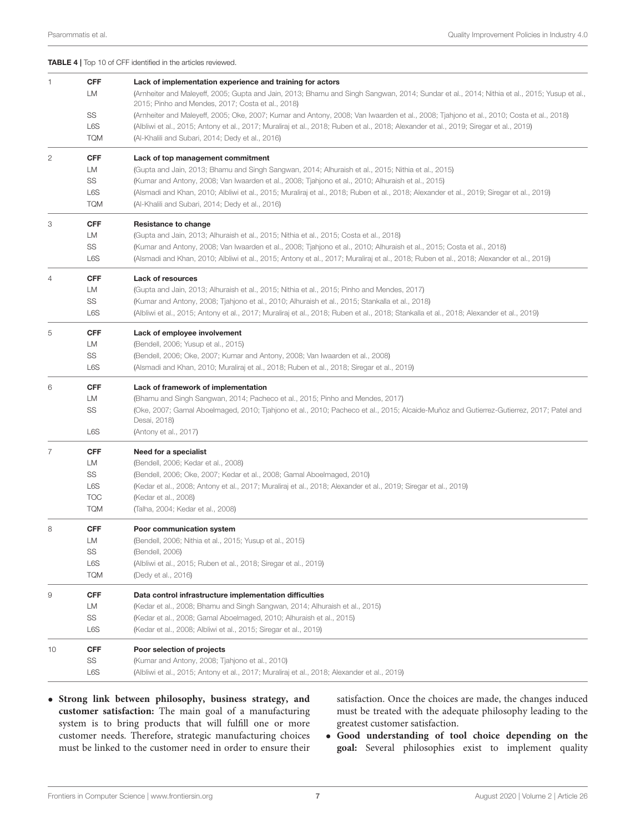<span id="page-6-0"></span>

|  | <b>TABLE 4</b>   Top 10 of CFF identified in the articles reviewed. |  |
|--|---------------------------------------------------------------------|--|
|  |                                                                     |  |

| 1. | <b>CFF</b><br>LM | Lack of implementation experience and training for actors<br>(Arnheiter and Maleyeff, 2005; Gupta and Jain, 2013; Bhamu and Singh Sangwan, 2014; Sundar et al., 2014; Nithia et al., 2015; Yusup et al., |
|----|------------------|----------------------------------------------------------------------------------------------------------------------------------------------------------------------------------------------------------|
|    |                  | 2015; Pinho and Mendes, 2017; Costa et al., 2018)                                                                                                                                                        |
|    | SS               | (Arnheiter and Maleyeff, 2005; Oke, 2007; Kumar and Antony, 2008; Van Iwaarden et al., 2008; Tjahjono et al., 2010; Costa et al., 2018)                                                                  |
|    | L6S              | (Albliwi et al., 2015; Antony et al., 2017; Muraliraj et al., 2018; Ruben et al., 2018; Alexander et al., 2019; Siregar et al., 2019)                                                                    |
|    | <b>TQM</b>       | (Al-Khalili and Subari, 2014; Dedy et al., 2016)                                                                                                                                                         |
| 2  | <b>CFF</b>       | Lack of top management commitment                                                                                                                                                                        |
|    | LM               | (Gupta and Jain, 2013; Bhamu and Singh Sangwan, 2014; Alhuraish et al., 2015; Nithia et al., 2015)                                                                                                       |
|    | SS               | (Kumar and Antony, 2008; Van Iwaarden et al., 2008; Tjahjono et al., 2010; Alhuraish et al., 2015)                                                                                                       |
|    | L6S              | (Alsmadi and Khan, 2010; Albliwi et al., 2015; Muraliraj et al., 2018; Ruben et al., 2018; Alexander et al., 2019; Siregar et al., 2019)                                                                 |
|    | <b>TQM</b>       | (Al-Khalili and Subari, 2014; Dedy et al., 2016)                                                                                                                                                         |
| З  | <b>CFF</b>       | Resistance to change                                                                                                                                                                                     |
|    | LM               | (Gupta and Jain, 2013; Alhuraish et al., 2015; Nithia et al., 2015; Costa et al., 2018)                                                                                                                  |
|    | SS               | (Kumar and Antony, 2008; Van Iwaarden et al., 2008; Tjahjono et al., 2010; Alhuraish et al., 2015; Costa et al., 2018)                                                                                   |
|    | L6S              | (Alsmadi and Khan, 2010; Albliwi et al., 2015; Antony et al., 2017; Muraliraj et al., 2018; Ruben et al., 2018; Alexander et al., 2019)                                                                  |
| 4  | <b>CFF</b>       | Lack of resources                                                                                                                                                                                        |
|    | LM               | (Gupta and Jain, 2013; Alhuraish et al., 2015; Nithia et al., 2015; Pinho and Mendes, 2017)                                                                                                              |
|    | SS               | (Kumar and Antony, 2008; Tjahjono et al., 2010; Alhuraish et al., 2015; Stankalla et al., 2018)                                                                                                          |
|    | L6S              | (Albliwi et al., 2015; Antony et al., 2017; Muraliraj et al., 2018; Ruben et al., 2018; Stankalla et al., 2018; Alexander et al., 2019)                                                                  |
| 5  | <b>CFF</b>       | Lack of employee involvement                                                                                                                                                                             |
|    | LM               | (Bendell, 2006; Yusup et al., 2015)                                                                                                                                                                      |
|    | SS               | (Bendell, 2006; Oke, 2007; Kumar and Antony, 2008; Van Iwaarden et al., 2008)                                                                                                                            |
|    | L6S              | (Alsmadi and Khan, 2010; Muraliraj et al., 2018; Ruben et al., 2018; Siregar et al., 2019)                                                                                                               |
| 6  | <b>CFF</b>       | Lack of framework of implementation                                                                                                                                                                      |
|    | LM               | (Bhamu and Singh Sangwan, 2014; Pacheco et al., 2015; Pinho and Mendes, 2017)                                                                                                                            |
|    | SS               | (Oke, 2007; Gamal Aboelmaged, 2010; Tjahjono et al., 2010; Pacheco et al., 2015; Alcaide-Muñoz and Gutierrez-Gutierrez, 2017; Patel and                                                                  |
|    |                  | Desai, 2018)                                                                                                                                                                                             |
|    | L6S              | (Antony et al., 2017)                                                                                                                                                                                    |
| 7  | <b>CFF</b>       | Need for a specialist                                                                                                                                                                                    |
|    | LM               | (Bendell, 2006; Kedar et al., 2008)                                                                                                                                                                      |
|    | SS               | (Bendell, 2006; Oke, 2007; Kedar et al., 2008; Gamal Aboelmaged, 2010)                                                                                                                                   |
|    | L6S              | (Kedar et al., 2008; Antony et al., 2017; Muraliraj et al., 2018; Alexander et al., 2019; Siregar et al., 2019)                                                                                          |
|    | <b>TOC</b>       | (Kedar et al., 2008)                                                                                                                                                                                     |
|    | <b>TQM</b>       | (Talha, 2004; Kedar et al., 2008)                                                                                                                                                                        |
| 8  | <b>CFF</b>       | Poor communication system                                                                                                                                                                                |
|    | LM               | (Bendell, 2006; Nithia et al., 2015; Yusup et al., 2015)                                                                                                                                                 |
|    | SS               | (Bendell, 2006)                                                                                                                                                                                          |
|    | L6S              | (Albliwi et al., 2015; Ruben et al., 2018; Siregar et al., 2019)                                                                                                                                         |
|    | <b>TQM</b>       | (Dedy et al., 2016)                                                                                                                                                                                      |
| 9  | <b>CFF</b>       | Data control infrastructure implementation difficulties                                                                                                                                                  |
|    | LM               | (Kedar et al., 2008; Bhamu and Singh Sangwan, 2014; Alhuraish et al., 2015)                                                                                                                              |
|    | SS               | (Kedar et al., 2008; Gamal Aboelmaged, 2010; Alhuraish et al., 2015)                                                                                                                                     |
|    | L6S              | (Kedar et al., 2008; Albliwi et al., 2015; Siregar et al., 2019)                                                                                                                                         |
| 10 | <b>CFF</b>       | Poor selection of projects                                                                                                                                                                               |
|    | SS               | (Kumar and Antony, 2008; Tjahjono et al., 2010)                                                                                                                                                          |
|    | L6S              | (Albliwi et al., 2015; Antony et al., 2017; Muraliraj et al., 2018; Alexander et al., 2019)                                                                                                              |
|    |                  |                                                                                                                                                                                                          |

• **Strong link between philosophy, business strategy, and customer satisfaction:** The main goal of a manufacturing system is to bring products that will fulfill one or more customer needs. Therefore, strategic manufacturing choices must be linked to the customer need in order to ensure their satisfaction. Once the choices are made, the changes induced must be treated with the adequate philosophy leading to the greatest customer satisfaction.

• **Good understanding of tool choice depending on the goal:** Several philosophies exist to implement quality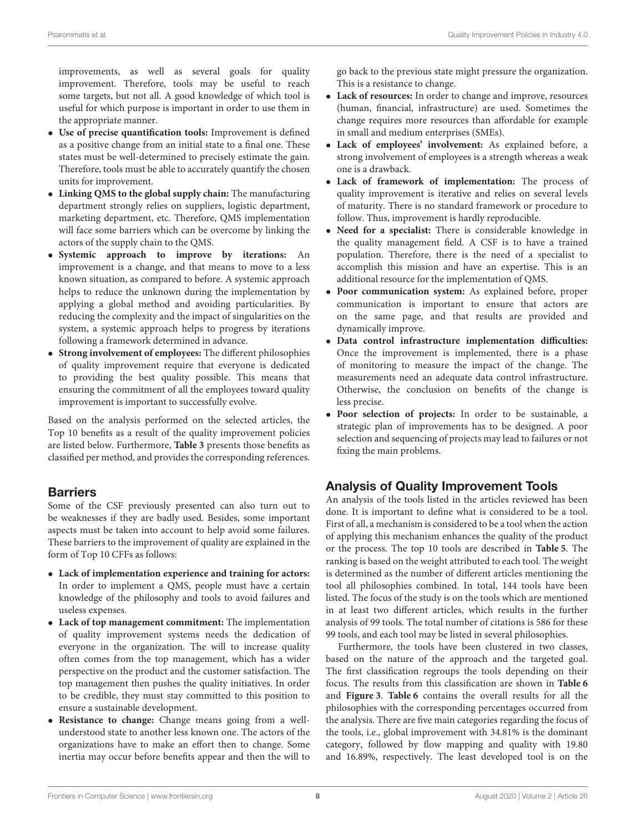improvements, as well as several goals for quality improvement. Therefore, tools may be useful to reach some targets, but not all. A good knowledge of which tool is useful for which purpose is important in order to use them in the appropriate manner.

- **Use of precise quantification tools:** Improvement is defined as a positive change from an initial state to a final one. These states must be well-determined to precisely estimate the gain. Therefore, tools must be able to accurately quantify the chosen units for improvement.
- **Linking QMS to the global supply chain:** The manufacturing department strongly relies on suppliers, logistic department, marketing department, etc. Therefore, QMS implementation will face some barriers which can be overcome by linking the actors of the supply chain to the QMS.
- **Systemic approach to improve by iterations:** An improvement is a change, and that means to move to a less known situation, as compared to before. A systemic approach helps to reduce the unknown during the implementation by applying a global method and avoiding particularities. By reducing the complexity and the impact of singularities on the system, a systemic approach helps to progress by iterations following a framework determined in advance.
- **Strong involvement of employees:** The different philosophies of quality improvement require that everyone is dedicated to providing the best quality possible. This means that ensuring the commitment of all the employees toward quality improvement is important to successfully evolve.

Based on the analysis performed on the selected articles, the Top 10 benefits as a result of the quality improvement policies are listed below. Furthermore, **[Table 3](#page-5-0)** presents those benefits as classified per method, and provides the corresponding references.

## Barriers

Some of the CSF previously presented can also turn out to be weaknesses if they are badly used. Besides, some important aspects must be taken into account to help avoid some failures. These barriers to the improvement of quality are explained in the form of Top 10 CFFs as follows:

- **Lack of implementation experience and training for actors:** In order to implement a QMS, people must have a certain knowledge of the philosophy and tools to avoid failures and useless expenses.
- **Lack of top management commitment:** The implementation of quality improvement systems needs the dedication of everyone in the organization. The will to increase quality often comes from the top management, which has a wider perspective on the product and the customer satisfaction. The top management then pushes the quality initiatives. In order to be credible, they must stay committed to this position to ensure a sustainable development.
- **Resistance to change:** Change means going from a wellunderstood state to another less known one. The actors of the organizations have to make an effort then to change. Some inertia may occur before benefits appear and then the will to

go back to the previous state might pressure the organization. This is a resistance to change.

- **Lack of resources:** In order to change and improve, resources (human, financial, infrastructure) are used. Sometimes the change requires more resources than affordable for example in small and medium enterprises (SMEs).
- **Lack of employees' involvement:** As explained before, a strong involvement of employees is a strength whereas a weak one is a drawback.
- **Lack of framework of implementation:** The process of quality improvement is iterative and relies on several levels of maturity. There is no standard framework or procedure to follow. Thus, improvement is hardly reproducible.
- **Need for a specialist:** There is considerable knowledge in the quality management field. A CSF is to have a trained population. Therefore, there is the need of a specialist to accomplish this mission and have an expertise. This is an additional resource for the implementation of QMS.
- **Poor communication system:** As explained before, proper communication is important to ensure that actors are on the same page, and that results are provided and dynamically improve.
- **Data control infrastructure implementation difficulties:** Once the improvement is implemented, there is a phase of monitoring to measure the impact of the change. The measurements need an adequate data control infrastructure. Otherwise, the conclusion on benefits of the change is less precise.
- **Poor selection of projects:** In order to be sustainable, a strategic plan of improvements has to be designed. A poor selection and sequencing of projects may lead to failures or not fixing the main problems.

## Analysis of Quality Improvement Tools

An analysis of the tools listed in the articles reviewed has been done. It is important to define what is considered to be a tool. First of all, a mechanism is considered to be a tool when the action of applying this mechanism enhances the quality of the product or the process. The top 10 tools are described in **[Table 5](#page-8-0)**. The ranking is based on the weight attributed to each tool. The weight is determined as the number of different articles mentioning the tool all philosophies combined. In total, 144 tools have been listed. The focus of the study is on the tools which are mentioned in at least two different articles, which results in the further analysis of 99 tools. The total number of citations is 586 for these 99 tools, and each tool may be listed in several philosophies.

Furthermore, the tools have been clustered in two classes, based on the nature of the approach and the targeted goal. The first classification regroups the tools depending on their focus. The results from this classification are shown in **[Table 6](#page-9-0)** and **[Figure 3](#page-8-1)**. **[Table 6](#page-9-0)** contains the overall results for all the philosophies with the corresponding percentages occurred from the analysis. There are five main categories regarding the focus of the tools, i.e., global improvement with 34.81% is the dominant category, followed by flow mapping and quality with 19.80 and 16.89%, respectively. The least developed tool is on the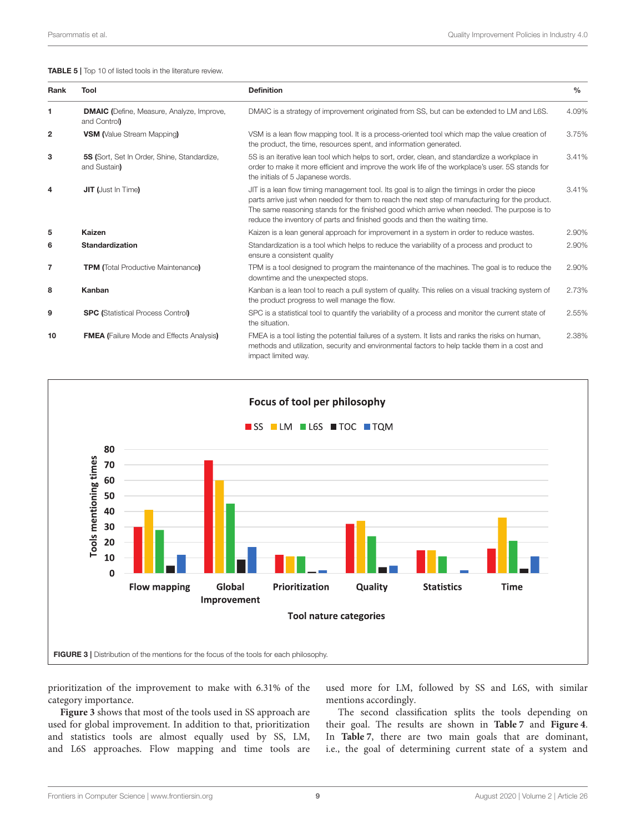<span id="page-8-0"></span>

| Rank           | Tool                                                             | <b>Definition</b>                                                                                                                                                                                                                                                                                                                                                               | $\frac{0}{0}$ |
|----------------|------------------------------------------------------------------|---------------------------------------------------------------------------------------------------------------------------------------------------------------------------------------------------------------------------------------------------------------------------------------------------------------------------------------------------------------------------------|---------------|
| 1              | <b>DMAIC</b> (Define, Measure, Analyze, Improve,<br>and Control) | DMAIC is a strategy of improvement originated from SS, but can be extended to LM and L6S.                                                                                                                                                                                                                                                                                       | 4.09%         |
| $\overline{2}$ | <b>VSM</b> (Value Stream Mapping)                                | VSM is a lean flow mapping tool. It is a process-oriented tool which map the value creation of<br>the product, the time, resources spent, and information generated.                                                                                                                                                                                                            | 3.75%         |
| 3              | 5S (Sort, Set In Order, Shine, Standardize,<br>and Sustain)      | 5S is an iterative lean tool which helps to sort, order, clean, and standardize a workplace in<br>order to make it more efficient and improve the work life of the workplace's user. 5S stands for<br>the initials of 5 Japanese words.                                                                                                                                         | 3.41%         |
| 4              | <b>JIT (Just In Time)</b>                                        | JIT is a lean flow timing management tool. Its goal is to align the timings in order the piece<br>parts arrive just when needed for them to reach the next step of manufacturing for the product.<br>The same reasoning stands for the finished good which arrive when needed. The purpose is to<br>reduce the inventory of parts and finished goods and then the waiting time. | 3.41%         |
| 5              | <b>Kaizen</b>                                                    | Kaizen is a lean general approach for improvement in a system in order to reduce wastes.                                                                                                                                                                                                                                                                                        | 2.90%         |
| 6              | <b>Standardization</b>                                           | Standardization is a tool which helps to reduce the variability of a process and product to<br>ensure a consistent quality                                                                                                                                                                                                                                                      | 2.90%         |
| 7              | <b>TPM</b> (Total Productive Maintenance)                        | TPM is a tool designed to program the maintenance of the machines. The goal is to reduce the<br>downtime and the unexpected stops.                                                                                                                                                                                                                                              | 2.90%         |
| 8              | Kanban                                                           | Kanban is a lean tool to reach a pull system of quality. This relies on a visual tracking system of<br>the product progress to well manage the flow.                                                                                                                                                                                                                            | 2.73%         |
| 9              | <b>SPC (Statistical Process Control)</b>                         | SPC is a statistical tool to quantify the variability of a process and monitor the current state of<br>the situation.                                                                                                                                                                                                                                                           | 2.55%         |
| 10             | <b>FMEA</b> (Failure Mode and Effects Analysis)                  | FMEA is a tool listing the potential failures of a system. It lists and ranks the risks on human,<br>methods and utilization, security and environmental factors to help tackle them in a cost and<br>impact limited way.                                                                                                                                                       | 2.38%         |



<span id="page-8-1"></span>prioritization of the improvement to make with 6.31% of the category importance.

**[Figure 3](#page-8-1)** shows that most of the tools used in SS approach are used for global improvement. In addition to that, prioritization and statistics tools are almost equally used by SS, LM, and L6S approaches. Flow mapping and time tools are

used more for LM, followed by SS and L6S, with similar mentions accordingly.

The second classification splits the tools depending on their goal. The results are shown in **[Table 7](#page-9-1)** and **[Figure 4](#page-10-0)**. In **[Table 7](#page-9-1)**, there are two main goals that are dominant, i.e., the goal of determining current state of a system and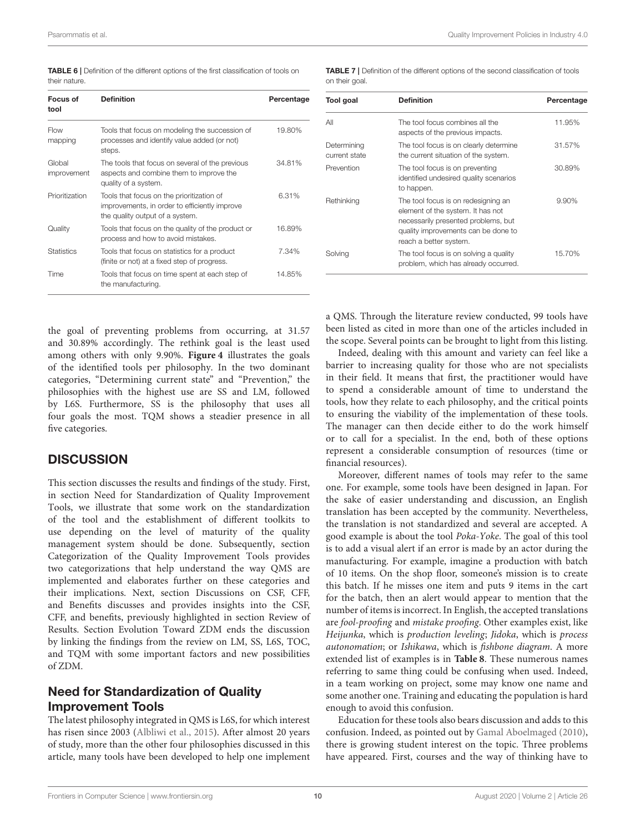<span id="page-9-0"></span>

| <b>TABLE 6</b>   Definition of the different options of the first classification of tools on |  |  |  |  |
|----------------------------------------------------------------------------------------------|--|--|--|--|
| their nature.                                                                                |  |  |  |  |

| Focus of<br>tool      | <b>Definition</b>                                                                                                             | Percentage |
|-----------------------|-------------------------------------------------------------------------------------------------------------------------------|------------|
| Flow<br>mapping       | Tools that focus on modeling the succession of<br>processes and identify value added (or not)<br>steps.                       | 19.80%     |
| Global<br>improvement | The tools that focus on several of the previous<br>aspects and combine them to improve the<br>quality of a system.            | 34.81%     |
| Prioritization        | Tools that focus on the prioritization of<br>improvements, in order to efficiently improve<br>the quality output of a system. | 6.31%      |
| Quality               | Tools that focus on the quality of the product or<br>process and how to avoid mistakes.                                       | 16.89%     |
| <b>Statistics</b>     | Tools that focus on statistics for a product<br>(finite or not) at a fixed step of progress.                                  | 7.34%      |
| Time                  | Tools that focus on time spent at each step of<br>the manufacturing.                                                          | 14.85%     |

the goal of preventing problems from occurring, at 31.57 and 30.89% accordingly. The rethink goal is the least used among others with only 9.90%. **[Figure 4](#page-10-0)** illustrates the goals of the identified tools per philosophy. In the two dominant categories, "Determining current state" and "Prevention," the philosophies with the highest use are SS and LM, followed by L6S. Furthermore, SS is the philosophy that uses all four goals the most. TQM shows a steadier presence in all five categories.

## **DISCUSSION**

This section discusses the results and findings of the study. First, in section Need for Standardization of Quality Improvement Tools, we illustrate that some work on the standardization of the tool and the establishment of different toolkits to use depending on the level of maturity of the quality management system should be done. Subsequently, section Categorization of the Quality Improvement Tools provides two categorizations that help understand the way QMS are implemented and elaborates further on these categories and their implications. Next, section Discussions on CSF, CFF, and Benefits discusses and provides insights into the CSF, CFF, and benefits, previously highlighted in section Review of Results. Section Evolution Toward ZDM ends the discussion by linking the findings from the review on LM, SS, L6S, TOC, and TQM with some important factors and new possibilities of ZDM.

## Need for Standardization of Quality Improvement Tools

The latest philosophy integrated in QMS is L6S, for which interest has risen since 2003 [\(Albliwi et al., 2015\)](#page-13-21). After almost 20 years of study, more than the other four philosophies discussed in this article, many tools have been developed to help one implement

<span id="page-9-1"></span>TABLE 7 | Definition of the different options of the second classification of tools on their goal

| Tool goal                    | <b>Definition</b>                                                                                                                                                                | Percentage |
|------------------------------|----------------------------------------------------------------------------------------------------------------------------------------------------------------------------------|------------|
| ΑIΙ                          | The tool focus combines all the<br>aspects of the previous impacts.                                                                                                              | 11.95%     |
| Determining<br>current state | The tool focus is on clearly determine<br>the current situation of the system.                                                                                                   | 31.57%     |
| Prevention                   | The tool focus is on preventing<br>identified undesired quality scenarios<br>to happen.                                                                                          | 30.89%     |
| Rethinking                   | The tool focus is on redesigning an<br>element of the system. It has not<br>necessarily presented problems, but<br>quality improvements can be done to<br>reach a better system. | 9.90%      |
| Solving                      | The tool focus is on solving a quality<br>problem, which has already occurred.                                                                                                   | 15.70%     |

a QMS. Through the literature review conducted, 99 tools have been listed as cited in more than one of the articles included in the scope. Several points can be brought to light from this listing.

Indeed, dealing with this amount and variety can feel like a barrier to increasing quality for those who are not specialists in their field. It means that first, the practitioner would have to spend a considerable amount of time to understand the tools, how they relate to each philosophy, and the critical points to ensuring the viability of the implementation of these tools. The manager can then decide either to do the work himself or to call for a specialist. In the end, both of these options represent a considerable consumption of resources (time or financial resources).

Moreover, different names of tools may refer to the same one. For example, some tools have been designed in Japan. For the sake of easier understanding and discussion, an English translation has been accepted by the community. Nevertheless, the translation is not standardized and several are accepted. A good example is about the tool Poka-Yoke. The goal of this tool is to add a visual alert if an error is made by an actor during the manufacturing. For example, imagine a production with batch of 10 items. On the shop floor, someone's mission is to create this batch. If he misses one item and puts 9 items in the cart for the batch, then an alert would appear to mention that the number of items is incorrect. In English, the accepted translations are fool-proofing and mistake proofing. Other examples exist, like Heijunka, which is production leveling; Jidoka, which is process autonomation; or Ishikawa, which is fishbone diagram. A more extended list of examples is in **[Table 8](#page-10-1)**. These numerous names referring to same thing could be confusing when used. Indeed, in a team working on project, some may know one name and some another one. Training and educating the population is hard enough to avoid this confusion.

Education for these tools also bears discussion and adds to this confusion. Indeed, as pointed out by [Gamal Aboelmaged \(2010\)](#page-13-14), there is growing student interest on the topic. Three problems have appeared. First, courses and the way of thinking have to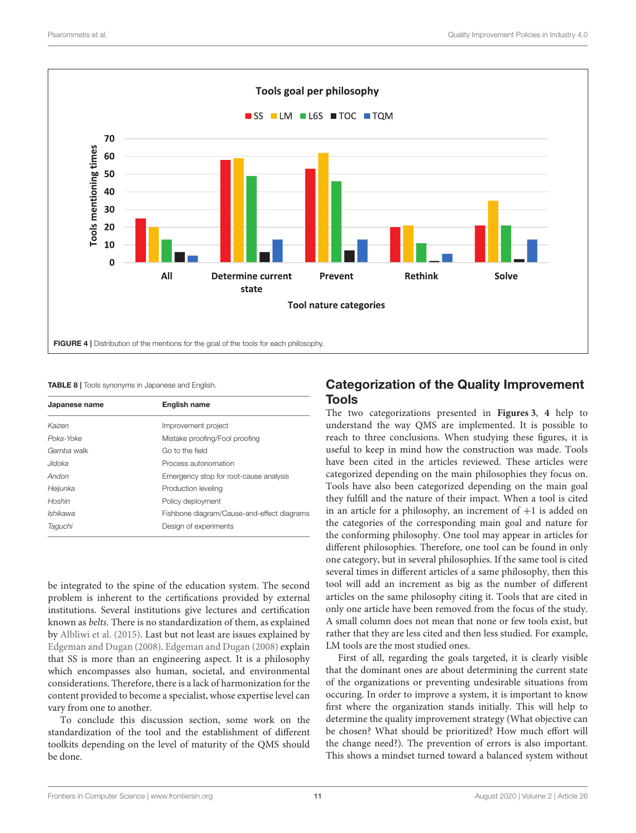

### <span id="page-10-1"></span><span id="page-10-0"></span>TABLE 8 | Tools synonyms in Japanese and English.

| Japanese name | <b>English name</b>                        |
|---------------|--------------------------------------------|
| Kaizen        | Improvement project                        |
| Poka-Yoke     | Mistake proofing/Fool proofing             |
| Gemba walk    | Go to the field                            |
| Jidoka        | Process autonomation                       |
| Andon         | Emergency stop for root-cause analysis     |
| Heijunka      | Production leveling                        |
| Hoshin        | Policy deployment                          |
| Ishikawa      | Fishbone diagram/Cause-and-effect diagrams |
| Taguchi       | Design of experiments                      |

be integrated to the spine of the education system. The second problem is inherent to the certifications provided by external institutions. Several institutions give lectures and certification known as belts. There is no standardization of them, as explained by [Albliwi et al. \(2015\)](#page-13-21). Last but not least are issues explained by [Edgeman and Dugan \(2008\)](#page-13-23). [Edgeman and Dugan \(2008\)](#page-13-23) explain that SS is more than an engineering aspect. It is a philosophy which encompasses also human, societal, and environmental considerations. Therefore, there is a lack of harmonization for the content provided to become a specialist, whose expertise level can vary from one to another.

To conclude this discussion section, some work on the standardization of the tool and the establishment of different toolkits depending on the level of maturity of the QMS should be done.

## Categorization of the Quality Improvement Tools

The two categorizations presented in **[Figures 3](#page-8-1)**, **[4](#page-10-0)** help to understand the way QMS are implemented. It is possible to reach to three conclusions. When studying these figures, it is useful to keep in mind how the construction was made. Tools have been cited in the articles reviewed. These articles were categorized depending on the main philosophies they focus on. Tools have also been categorized depending on the main goal they fulfill and the nature of their impact. When a tool is cited in an article for a philosophy, an increment of  $+1$  is added on the categories of the corresponding main goal and nature for the conforming philosophy. One tool may appear in articles for different philosophies. Therefore, one tool can be found in only one category, but in several philosophies. If the same tool is cited several times in different articles of a same philosophy, then this tool will add an increment as big as the number of different articles on the same philosophy citing it. Tools that are cited in only one article have been removed from the focus of the study. A small column does not mean that none or few tools exist, but rather that they are less cited and then less studied. For example, LM tools are the most studied ones.

First of all, regarding the goals targeted, it is clearly visible that the dominant ones are about determining the current state of the organizations or preventing undesirable situations from occuring. In order to improve a system, it is important to know first where the organization stands initially. This will help to determine the quality improvement strategy (What objective can be chosen? What should be prioritized? How much effort will the change need?). The prevention of errors is also important. This shows a mindset turned toward a balanced system without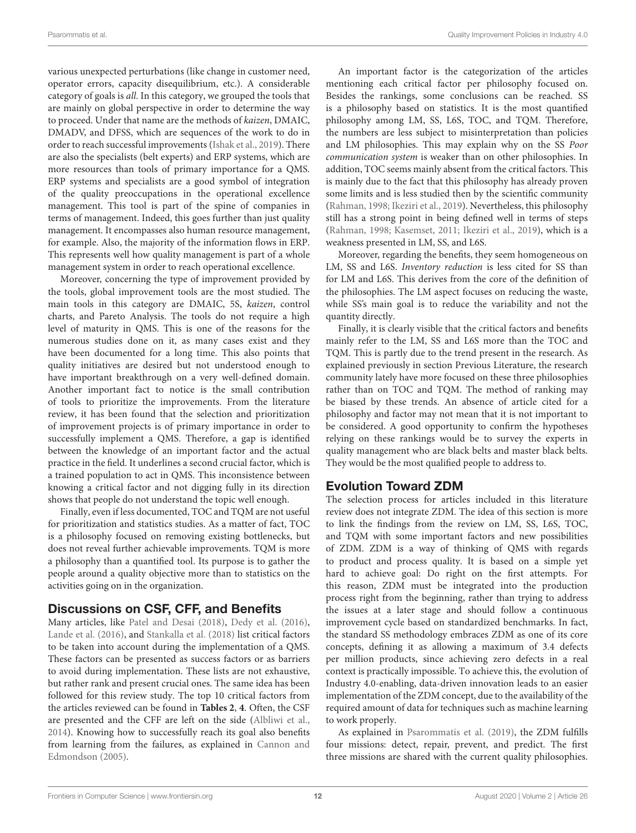various unexpected perturbations (like change in customer need, operator errors, capacity disequilibrium, etc.). A considerable category of goals is all. In this category, we grouped the tools that are mainly on global perspective in order to determine the way to proceed. Under that name are the methods of kaizen, DMAIC, DMADV, and DFSS, which are sequences of the work to do in order to reach successful improvements [\(Ishak et al., 2019\)](#page-14-33). There are also the specialists (belt experts) and ERP systems, which are more resources than tools of primary importance for a QMS. ERP systems and specialists are a good symbol of integration of the quality preoccupations in the operational excellence management. This tool is part of the spine of companies in terms of management. Indeed, this goes further than just quality management. It encompasses also human resource management, for example. Also, the majority of the information flows in ERP. This represents well how quality management is part of a whole management system in order to reach operational excellence.

Moreover, concerning the type of improvement provided by the tools, global improvement tools are the most studied. The main tools in this category are DMAIC, 5S, kaizen, control charts, and Pareto Analysis. The tools do not require a high level of maturity in QMS. This is one of the reasons for the numerous studies done on it, as many cases exist and they have been documented for a long time. This also points that quality initiatives are desired but not understood enough to have important breakthrough on a very well-defined domain. Another important fact to notice is the small contribution of tools to prioritize the improvements. From the literature review, it has been found that the selection and prioritization of improvement projects is of primary importance in order to successfully implement a QMS. Therefore, a gap is identified between the knowledge of an important factor and the actual practice in the field. It underlines a second crucial factor, which is a trained population to act in QMS. This inconsistence between knowing a critical factor and not digging fully in its direction shows that people do not understand the topic well enough.

Finally, even if less documented, TOC and TQM are not useful for prioritization and statistics studies. As a matter of fact, TOC is a philosophy focused on removing existing bottlenecks, but does not reveal further achievable improvements. TQM is more a philosophy than a quantified tool. Its purpose is to gather the people around a quality objective more than to statistics on the activities going on in the organization.

## Discussions on CSF, CFF, and Benefits

Many articles, like [Patel and Desai \(2018\)](#page-14-27), [Dedy et al. \(2016\)](#page-13-22), [Lande et al. \(2016\)](#page-14-20), and [Stankalla et al. \(2018\)](#page-14-12) list critical factors to be taken into account during the implementation of a QMS. These factors can be presented as success factors or as barriers to avoid during implementation. These lists are not exhaustive, but rather rank and present crucial ones. The same idea has been followed for this review study. The top 10 critical factors from the articles reviewed can be found in **[Tables 2](#page-4-0)**, **[4](#page-6-0)**. Often, the CSF are presented and the CFF are left on the side [\(Albliwi et al.,](#page-13-24) [2014\)](#page-13-24). Knowing how to successfully reach its goal also benefits from learning from the failures, as explained in Cannon and Edmondson [\(2005\)](#page-13-2).

An important factor is the categorization of the articles mentioning each critical factor per philosophy focused on. Besides the rankings, some conclusions can be reached. SS is a philosophy based on statistics. It is the most quantified philosophy among LM, SS, L6S, TOC, and TQM. Therefore, the numbers are less subject to misinterpretation than policies and LM philosophies. This may explain why on the SS Poor communication system is weaker than on other philosophies. In addition, TOC seems mainly absent from the critical factors. This is mainly due to the fact that this philosophy has already proven some limits and is less studied then by the scientific community [\(Rahman, 1998;](#page-14-14) [Ikeziri et al., 2019\)](#page-14-15). Nevertheless, this philosophy still has a strong point in being defined well in terms of steps [\(Rahman, 1998;](#page-14-14) [Kasemset, 2011;](#page-14-10) [Ikeziri et al., 2019\)](#page-14-15), which is a weakness presented in LM, SS, and L6S.

Moreover, regarding the benefits, they seem homogeneous on LM, SS and L6S. Inventory reduction is less cited for SS than for LM and L6S. This derives from the core of the definition of the philosophies. The LM aspect focuses on reducing the waste, while SS's main goal is to reduce the variability and not the quantity directly.

Finally, it is clearly visible that the critical factors and benefits mainly refer to the LM, SS and L6S more than the TOC and TQM. This is partly due to the trend present in the research. As explained previously in section Previous Literature, the research community lately have more focused on these three philosophies rather than on TOC and TQM. The method of ranking may be biased by these trends. An absence of article cited for a philosophy and factor may not mean that it is not important to be considered. A good opportunity to confirm the hypotheses relying on these rankings would be to survey the experts in quality management who are black belts and master black belts. They would be the most qualified people to address to.

## Evolution Toward ZDM

The selection process for articles included in this literature review does not integrate ZDM. The idea of this section is more to link the findings from the review on LM, SS, L6S, TOC, and TQM with some important factors and new possibilities of ZDM. ZDM is a way of thinking of QMS with regards to product and process quality. It is based on a simple yet hard to achieve goal: Do right on the first attempts. For this reason, ZDM must be integrated into the production process right from the beginning, rather than trying to address the issues at a later stage and should follow a continuous improvement cycle based on standardized benchmarks. In fact, the standard SS methodology embraces ZDM as one of its core concepts, defining it as allowing a maximum of 3.4 defects per million products, since achieving zero defects in a real context is practically impossible. To achieve this, the evolution of Industry 4.0-enabling, data-driven innovation leads to an easier implementation of the ZDM concept, due to the availability of the required amount of data for techniques such as machine learning to work properly.

As explained in [Psarommatis et al. \(2019\)](#page-14-34), the ZDM fulfills four missions: detect, repair, prevent, and predict. The first three missions are shared with the current quality philosophies.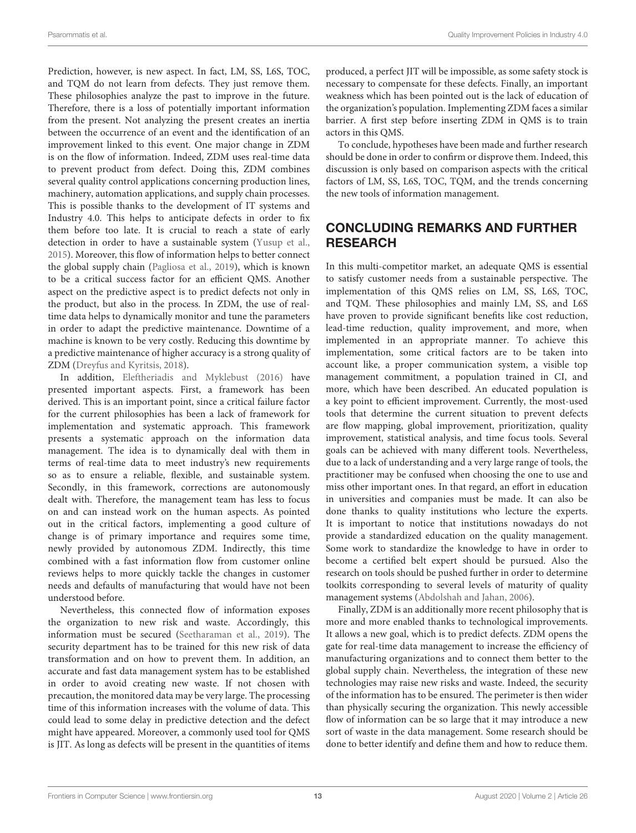Prediction, however, is new aspect. In fact, LM, SS, L6S, TOC, and TQM do not learn from defects. They just remove them. These philosophies analyze the past to improve in the future. Therefore, there is a loss of potentially important information from the present. Not analyzing the present creates an inertia between the occurrence of an event and the identification of an improvement linked to this event. One major change in ZDM is on the flow of information. Indeed, ZDM uses real-time data to prevent product from defect. Doing this, ZDM combines several quality control applications concerning production lines, machinery, automation applications, and supply chain processes. This is possible thanks to the development of IT systems and Industry 4.0. This helps to anticipate defects in order to fix them before too late. It is crucial to reach a state of early detection in order to have a sustainable system [\(Yusup et al.,](#page-14-17) [2015\)](#page-14-17). Moreover, this flow of information helps to better connect the global supply chain [\(Pagliosa et al., 2019\)](#page-14-35), which is known to be a critical success factor for an efficient QMS. Another aspect on the predictive aspect is to predict defects not only in the product, but also in the process. In ZDM, the use of realtime data helps to dynamically monitor and tune the parameters in order to adapt the predictive maintenance. Downtime of a machine is known to be very costly. Reducing this downtime by a predictive maintenance of higher accuracy is a strong quality of ZDM [\(Dreyfus and Kyritsis, 2018\)](#page-13-25).

In addition, [Eleftheriadis and Myklebust \(2016\)](#page-13-3) have presented important aspects. First, a framework has been derived. This is an important point, since a critical failure factor for the current philosophies has been a lack of framework for implementation and systematic approach. This framework presents a systematic approach on the information data management. The idea is to dynamically deal with them in terms of real-time data to meet industry's new requirements so as to ensure a reliable, flexible, and sustainable system. Secondly, in this framework, corrections are autonomously dealt with. Therefore, the management team has less to focus on and can instead work on the human aspects. As pointed out in the critical factors, implementing a good culture of change is of primary importance and requires some time, newly provided by autonomous ZDM. Indirectly, this time combined with a fast information flow from customer online reviews helps to more quickly tackle the changes in customer needs and defaults of manufacturing that would have not been understood before.

Nevertheless, this connected flow of information exposes the organization to new risk and waste. Accordingly, this information must be secured [\(Seetharaman et al., 2019\)](#page-14-36). The security department has to be trained for this new risk of data transformation and on how to prevent them. In addition, an accurate and fast data management system has to be established in order to avoid creating new waste. If not chosen with precaution, the monitored data may be very large. The processing time of this information increases with the volume of data. This could lead to some delay in predictive detection and the defect might have appeared. Moreover, a commonly used tool for QMS is JIT. As long as defects will be present in the quantities of items produced, a perfect JIT will be impossible, as some safety stock is necessary to compensate for these defects. Finally, an important weakness which has been pointed out is the lack of education of the organization's population. Implementing ZDM faces a similar barrier. A first step before inserting ZDM in QMS is to train actors in this QMS.

To conclude, hypotheses have been made and further research should be done in order to confirm or disprove them. Indeed, this discussion is only based on comparison aspects with the critical factors of LM, SS, L6S, TOC, TQM, and the trends concerning the new tools of information management.

## CONCLUDING REMARKS AND FURTHER **RESEARCH**

In this multi-competitor market, an adequate QMS is essential to satisfy customer needs from a sustainable perspective. The implementation of this QMS relies on LM, SS, L6S, TOC, and TQM. These philosophies and mainly LM, SS, and L6S have proven to provide significant benefits like cost reduction, lead-time reduction, quality improvement, and more, when implemented in an appropriate manner. To achieve this implementation, some critical factors are to be taken into account like, a proper communication system, a visible top management commitment, a population trained in CI, and more, which have been described. An educated population is a key point to efficient improvement. Currently, the most-used tools that determine the current situation to prevent defects are flow mapping, global improvement, prioritization, quality improvement, statistical analysis, and time focus tools. Several goals can be achieved with many different tools. Nevertheless, due to a lack of understanding and a very large range of tools, the practitioner may be confused when choosing the one to use and miss other important ones. In that regard, an effort in education in universities and companies must be made. It can also be done thanks to quality institutions who lecture the experts. It is important to notice that institutions nowadays do not provide a standardized education on the quality management. Some work to standardize the knowledge to have in order to become a certified belt expert should be pursued. Also the research on tools should be pushed further in order to determine toolkits corresponding to several levels of maturity of quality management systems [\(Abdolshah and Jahan, 2006\)](#page-13-26).

Finally, ZDM is an additionally more recent philosophy that is more and more enabled thanks to technological improvements. It allows a new goal, which is to predict defects. ZDM opens the gate for real-time data management to increase the efficiency of manufacturing organizations and to connect them better to the global supply chain. Nevertheless, the integration of these new technologies may raise new risks and waste. Indeed, the security of the information has to be ensured. The perimeter is then wider than physically securing the organization. This newly accessible flow of information can be so large that it may introduce a new sort of waste in the data management. Some research should be done to better identify and define them and how to reduce them.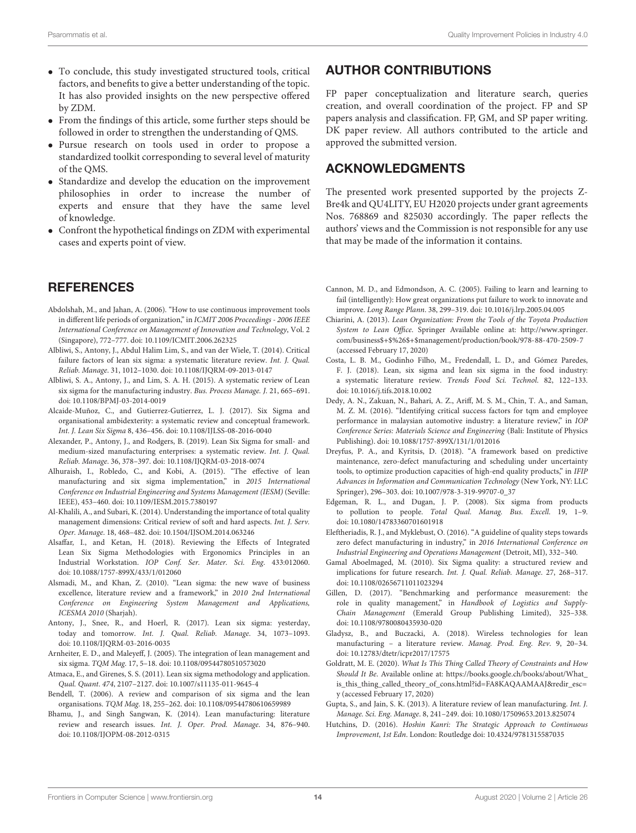- To conclude, this study investigated structured tools, critical factors, and benefits to give a better understanding of the topic. It has also provided insights on the new perspective offered by ZDM.
- From the findings of this article, some further steps should be followed in order to strengthen the understanding of QMS.
- Pursue research on tools used in order to propose a standardized toolkit corresponding to several level of maturity of the QMS.
- Standardize and develop the education on the improvement philosophies in order to increase the number of experts and ensure that they have the same level of knowledge.
- Confront the hypothetical findings on ZDM with experimental cases and experts point of view.

## **REFERENCES**

- <span id="page-13-26"></span>Abdolshah, M., and Jahan, A. (2006). "How to use continuous improvement tools in different life periods of organization," in ICMIT 2006 Proceedings - 2006 IEEE International Conference on Management of Innovation and Technology, Vol. 2 (Singapore), 772–777. doi: [10.1109/ICMIT.2006.262325](https://doi.org/10.1109/ICMIT.2006.262325)
- <span id="page-13-24"></span>Albliwi, S., Antony, J., Abdul Halim Lim, S., and van der Wiele, T. (2014). Critical failure factors of lean six sigma: a systematic literature review. Int. J. Qual. Reliab. Manage. 31, 1012–1030. doi: [10.1108/IJQRM-09-2013-0147](https://doi.org/10.1108/IJQRM-09-2013-0147)
- <span id="page-13-21"></span>Albliwi, S. A., Antony, J., and Lim, S. A. H. (2015). A systematic review of Lean six sigma for the manufacturing industry. Bus. Process Manage. J. 21, 665–691. doi: [10.1108/BPMJ-03-2014-0019](https://doi.org/10.1108/BPMJ-03-2014-0019)
- <span id="page-13-17"></span>Alcaide-Muñoz, C., and Gutierrez-Gutierrez, L. J. (2017). Six Sigma and organisational ambidexterity: a systematic review and conceptual framework. Int. J. Lean Six Sigma 8, 436–456. doi: [10.1108/IJLSS-08-2016-0040](https://doi.org/10.1108/IJLSS-08-2016-0040)
- <span id="page-13-20"></span>Alexander, P., Antony, J., and Rodgers, B. (2019). Lean Six Sigma for small- and medium-sized manufacturing enterprises: a systematic review. Int. J. Qual. Reliab. Manage. 36, 378–397. doi: [10.1108/IJQRM-03-2018-0074](https://doi.org/10.1108/IJQRM-03-2018-0074)
- <span id="page-13-9"></span>Alhuraish, I., Robledo, C., and Kobi, A. (2015). "The effective of lean manufacturing and six sigma implementation," in 2015 International Conference on Industrial Engineering and Systems Management (IESM) (Seville: IEEE), 453–460. doi: [10.1109/IESM.2015.7380197](https://doi.org/10.1109/IESM.2015.7380197)
- <span id="page-13-16"></span>Al-Khalili, A., and Subari, K. (2014). Understanding the importance of total quality management dimensions: Critical review of soft and hard aspects. Int. J. Serv. Oper. Manage. 18, 468–482. doi: [10.1504/IJSOM.2014.063246](https://doi.org/10.1504/IJSOM.2014.063246)
- <span id="page-13-18"></span>Alsaffar, I., and Ketan, H. (2018). Reviewing the Effects of Integrated Lean Six Sigma Methodologies with Ergonomics Principles in an Industrial Workstation. IOP Conf. Ser. Mater. Sci. Eng. 433:012060. doi: [10.1088/1757-899X/433/1/012060](https://doi.org/10.1088/1757-899X/433/1/012060)
- <span id="page-13-19"></span>Alsmadi, M., and Khan, Z. (2010). "Lean sigma: the new wave of business excellence, literature review and a framework," in 2010 2nd International Conference on Engineering System Management and Applications, ICESMA 2010 (Sharjah).
- <span id="page-13-15"></span>Antony, J., Snee, R., and Hoerl, R. (2017). Lean six sigma: yesterday, today and tomorrow. Int. J. Qual. Reliab. Manage. 34, 1073–1093. doi: [10.1108/IJQRM-03-2016-0035](https://doi.org/10.1108/IJQRM-03-2016-0035)
- <span id="page-13-7"></span>Arnheiter, E. D., and Maleyeff, J. (2005). The integration of lean management and six sigma. TQM Mag. 17, 5–18. doi: [10.1108/09544780510573020](https://doi.org/10.1108/09544780510573020)
- <span id="page-13-5"></span>Atmaca, E., and Girenes, S. S. (2011). Lean six sigma methodology and application. Qual. Quant. 474, 2107–2127. doi: [10.1007/s11135-011-9645-4](https://doi.org/10.1007/s11135-011-9645-4)
- <span id="page-13-8"></span>Bendell, T. (2006). A review and comparison of six sigma and the lean organisations. TQM Mag. 18, 255–262. doi: [10.1108/09544780610659989](https://doi.org/10.1108/09544780610659989)
- <span id="page-13-13"></span>Bhamu, J., and Singh Sangwan, K. (2014). Lean manufacturing: literature review and research issues. Int. J. Oper. Prod. Manage. 34, 876–940. doi: [10.1108/IJOPM-08-2012-0315](https://doi.org/10.1108/IJOPM-08-2012-0315)

## AUTHOR CONTRIBUTIONS

FP paper conceptualization and literature search, queries creation, and overall coordination of the project. FP and SP papers analysis and classification. FP, GM, and SP paper writing. DK paper review. All authors contributed to the article and approved the submitted version.

## ACKNOWLEDGMENTS

The presented work presented supported by the projects Z-Bre4k and QU4LITY, EU H2020 projects under grant agreements Nos. 768869 and 825030 accordingly. The paper reflects the authors' views and the Commission is not responsible for any use that may be made of the information it contains.

- <span id="page-13-2"></span>Cannon, M. D., and Edmondson, A. C. (2005). Failing to learn and learning to fail (intelligently): How great organizations put failure to work to innovate and improve. Long Range Plann. 38, 299–319. doi: [10.1016/j.lrp.2005.04.005](https://doi.org/10.1016/j.lrp.2005.04.005)
- <span id="page-13-4"></span>Chiarini, A. (2013). Lean Organization: From the Tools of the Toyota Production System to Lean Office. Springer Available online at: [http://www.springer.](http://www.springer.com/business$+$%26$+$management/production/book/978-88-470-2509-7) [com/business\\$+\\$%26\\$+\\$management/production/book/978-88-470-2509-7](http://www.springer.com/business$+$%26$+$management/production/book/978-88-470-2509-7) (accessed February 17, 2020)
- <span id="page-13-10"></span>Costa, L. B. M., Godinho Filho, M., Fredendall, L. D., and Gómez Paredes, F. J. (2018). Lean, six sigma and lean six sigma in the food industry: a systematic literature review. Trends Food Sci. Technol. 82, 122–133. doi: [10.1016/j.tifs.2018.10.002](https://doi.org/10.1016/j.tifs.2018.10.002)
- <span id="page-13-22"></span>Dedy, A. N., Zakuan, N., Bahari, A. Z., Ariff, M. S. M., Chin, T. A., and Saman, M. Z. M. (2016). "Identifying critical success factors for tqm and employee performance in malaysian automotive industry: a literature review," in IOP Conference Series: Materials Science and Engineering (Bali: Institute of Physics Publishing). doi: [10.1088/1757-899X/131/1/012016](https://doi.org/10.1088/1757-899X/131/1/012016)
- <span id="page-13-25"></span>Dreyfus, P. A., and Kyritsis, D. (2018). "A framework based on predictive maintenance, zero-defect manufacturing and scheduling under uncertainty tools, to optimize production capacities of high-end quality products," in IFIP Advances in Information and Communication Technology (New York, NY: LLC Springer), 296–303. doi: [10.1007/978-3-319-99707-0\\_37](https://doi.org/10.1007/978-3-319-99707-0_37)
- <span id="page-13-23"></span>Edgeman, R. L., and Dugan, J. P. (2008). Six sigma from products to pollution to people. Total Qual. Manag. Bus. Excell. 19, 1–9. doi: [10.1080/14783360701601918](https://doi.org/10.1080/14783360701601918)
- <span id="page-13-3"></span>Eleftheriadis, R. J., and Myklebust, O. (2016). "A guideline of quality steps towards zero defect manufacturing in industry," in 2016 International Conference on Industrial Engineering and Operations Management (Detroit, MI), 332–340.
- <span id="page-13-14"></span>Gamal Aboelmaged, M. (2010). Six Sigma quality: a structured review and implications for future research. Int. J. Qual. Reliab. Manage. 27, 268–317. doi: [10.1108/02656711011023294](https://doi.org/10.1108/02656711011023294)
- <span id="page-13-0"></span>Gillen, D. (2017). "Benchmarking and performance measurement: the role in quality management," in Handbook of Logistics and Supply-Chain Management (Emerald Group Publishing Limited), 325–338. doi: [10.1108/9780080435930-020](https://doi.org/10.1108/9780080435930-020)
- <span id="page-13-11"></span>Gladysz, B., and Buczacki, A. (2018). Wireless technologies for lean manufacturing – a literature review. Manag. Prod. Eng. Rev. 9, 20–34. doi: [10.12783/dtetr/icpr2017/17575](https://doi.org/10.12783/dtetr/icpr2017/17575)
- <span id="page-13-6"></span>Goldratt, M. E. (2020). What Is This Thing Called Theory of Constraints and How Should It Be. Available online at: [https://books.google.ch/books/about/What\\_](https://books.google.ch/books/about/What_is_this_thing_called_theory_of_cons.html?id=FA8KAQAAMAAJ&redir_esc=y) [is\\_this\\_thing\\_called\\_theory\\_of\\_cons.html?id=FA8KAQAAMAAJ&redir\\_esc=](https://books.google.ch/books/about/What_is_this_thing_called_theory_of_cons.html?id=FA8KAQAAMAAJ&redir_esc=y) [y](https://books.google.ch/books/about/What_is_this_thing_called_theory_of_cons.html?id=FA8KAQAAMAAJ&redir_esc=y) (accessed February 17, 2020)
- <span id="page-13-12"></span>Gupta, S., and Jain, S. K. (2013). A literature review of lean manufacturing. Int. J. Manage. Sci. Eng. Manage. 8, 241–249. doi: [10.1080/17509653.2013.825074](https://doi.org/10.1080/17509653.2013.825074)
- <span id="page-13-1"></span>Hutchins, D. (2016). Hoshin Kanri: The Strategic Approach to Continuous Improvement, 1st Edn. London: Routledge doi: [10.4324/9781315587035](https://doi.org/10.4324/9781315587035)